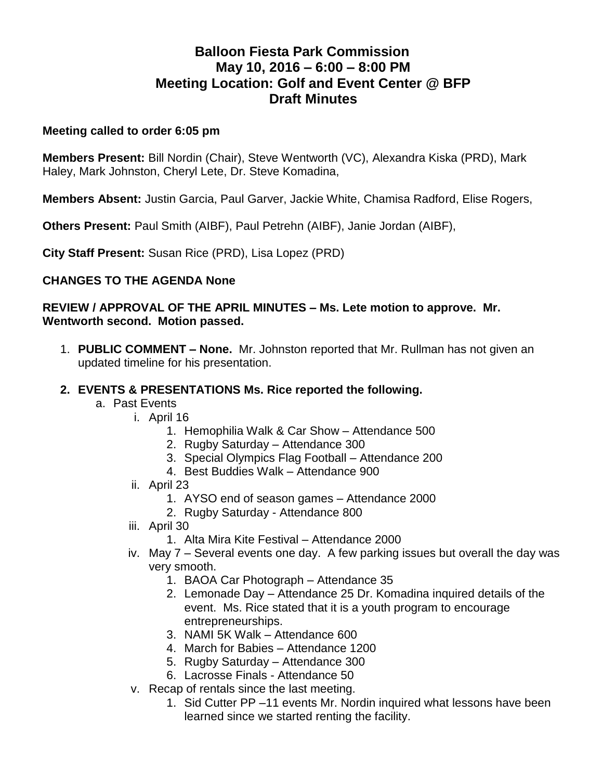# **Balloon Fiesta Park Commission May 10, 2016 – 6:00 – 8:00 PM Meeting Location: Golf and Event Center @ BFP Draft Minutes**

#### **Meeting called to order 6:05 pm**

**Members Present:** Bill Nordin (Chair), Steve Wentworth (VC), Alexandra Kiska (PRD), Mark Haley, Mark Johnston, Cheryl Lete, Dr. Steve Komadina,

**Members Absent:** Justin Garcia, Paul Garver, Jackie White, Chamisa Radford, Elise Rogers,

**Others Present:** Paul Smith (AIBF), Paul Petrehn (AIBF), Janie Jordan (AIBF),

**City Staff Present:** Susan Rice (PRD), Lisa Lopez (PRD)

## **CHANGES TO THE AGENDA None**

#### **REVIEW / APPROVAL OF THE APRIL MINUTES – Ms. Lete motion to approve. Mr. Wentworth second. Motion passed.**

1. **PUBLIC COMMENT – None.** Mr. Johnston reported that Mr. Rullman has not given an updated timeline for his presentation.

#### **2. EVENTS & PRESENTATIONS Ms. Rice reported the following.**

- a. Past Events
	- i. April 16
		- 1. Hemophilia Walk & Car Show Attendance 500
		- 2. Rugby Saturday Attendance 300
		- 3. Special Olympics Flag Football Attendance 200
		- 4. Best Buddies Walk Attendance 900
		- ii. April 23
			- 1. AYSO end of season games Attendance 2000
			- 2. Rugby Saturday Attendance 800
		- iii. April 30
			- 1. Alta Mira Kite Festival Attendance 2000
		- iv. May 7 Several events one day. A few parking issues but overall the day was very smooth.
			- 1. BAOA Car Photograph Attendance 35
			- 2. Lemonade Day Attendance 25 Dr. Komadina inquired details of the event. Ms. Rice stated that it is a youth program to encourage entrepreneurships.
			- 3. NAMI 5K Walk Attendance 600
			- 4. March for Babies Attendance 1200
			- 5. Rugby Saturday Attendance 300
			- 6. Lacrosse Finals Attendance 50
		- v. Recap of rentals since the last meeting.
			- 1. Sid Cutter PP –11 events Mr. Nordin inquired what lessons have been learned since we started renting the facility.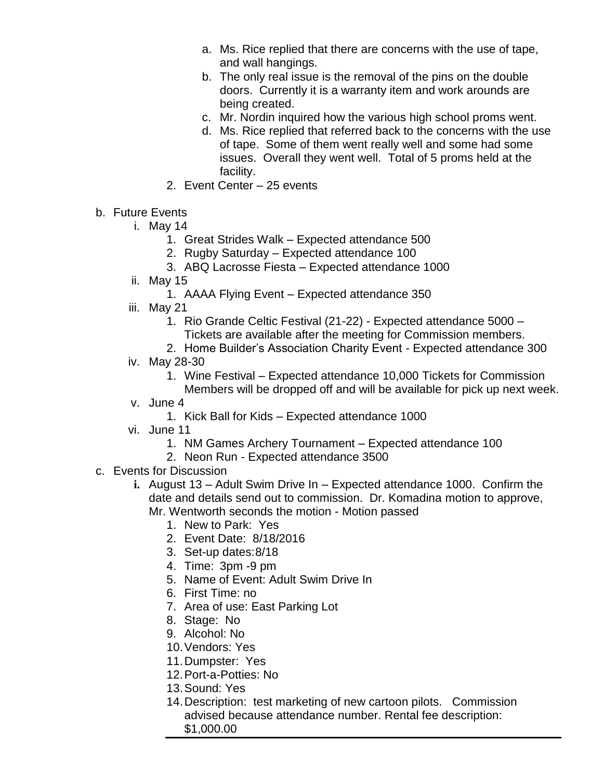- a. Ms. Rice replied that there are concerns with the use of tape, and wall hangings.
- b. The only real issue is the removal of the pins on the double doors. Currently it is a warranty item and work arounds are being created.
- c. Mr. Nordin inquired how the various high school proms went.
- d. Ms. Rice replied that referred back to the concerns with the use of tape. Some of them went really well and some had some issues. Overall they went well. Total of 5 proms held at the facility.
- 2. Event Center 25 events
- b. Future Events
	- i. May 14
		- 1. Great Strides Walk Expected attendance 500
		- 2. Rugby Saturday Expected attendance 100
		- 3. ABQ Lacrosse Fiesta Expected attendance 1000
	- ii. May 15
		- 1. AAAA Flying Event Expected attendance 350
	- iii. May 21
		- 1. Rio Grande Celtic Festival (21-22) Expected attendance 5000
			- Tickets are available after the meeting for Commission members.
		- 2. Home Builder's Association Charity Event Expected attendance 300
	- iv. May 28-30
		- 1. Wine Festival Expected attendance 10,000 Tickets for Commission
			- Members will be dropped off and will be available for pick up next week.
	- v. June 4
		- 1. Kick Ball for Kids Expected attendance 1000
	- vi. June 11
		- 1. NM Games Archery Tournament Expected attendance 100
		- 2. Neon Run Expected attendance 3500
- c. Events for Discussion
	- **i.** August 13 Adult Swim Drive In Expected attendance 1000. Confirm the date and details send out to commission. Dr. Komadina motion to approve, Mr. Wentworth seconds the motion - Motion passed
		- 1. New to Park: Yes
		- 2. Event Date: 8/18/2016
		- 3. Set-up dates:8/18
		- 4. Time: 3pm -9 pm
		- 5. Name of Event: Adult Swim Drive In
		- 6. First Time: no
		- 7. Area of use: East Parking Lot
		- 8. Stage: No
		- 9. Alcohol: No
		- 10.Vendors: Yes
		- 11.Dumpster: Yes
		- 12.Port-a-Potties: No
		- 13.Sound: Yes
		- 14.Description: test marketing of new cartoon pilots. Commission advised because attendance number. Rental fee description: \$1,000.00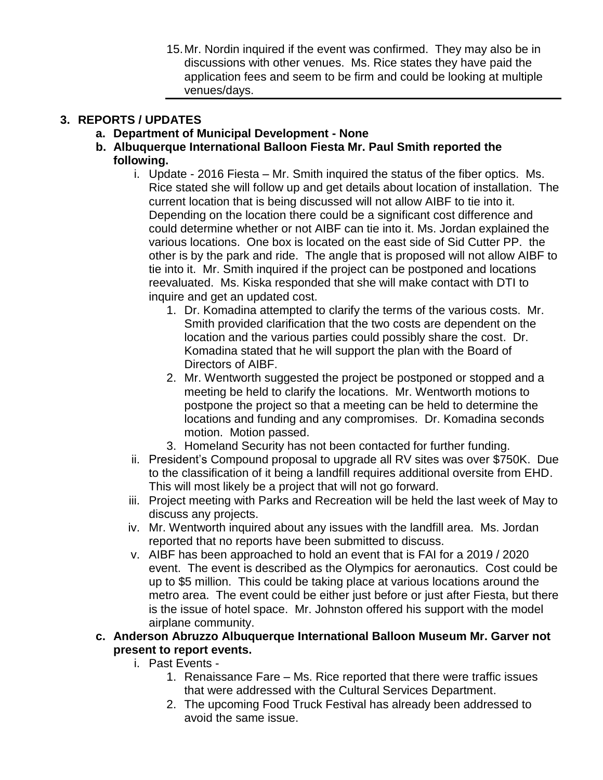15.Mr. Nordin inquired if the event was confirmed. They may also be in discussions with other venues. Ms. Rice states they have paid the application fees and seem to be firm and could be looking at multiple venues/days.

# **3. REPORTS / UPDATES**

- **a. Department of Municipal Development - None**
- **b. Albuquerque International Balloon Fiesta Mr. Paul Smith reported the following.**
	- i. Update 2016 Fiesta Mr. Smith inquired the status of the fiber optics. Ms. Rice stated she will follow up and get details about location of installation. The current location that is being discussed will not allow AIBF to tie into it. Depending on the location there could be a significant cost difference and could determine whether or not AIBF can tie into it. Ms. Jordan explained the various locations. One box is located on the east side of Sid Cutter PP. the other is by the park and ride. The angle that is proposed will not allow AIBF to tie into it. Mr. Smith inquired if the project can be postponed and locations reevaluated. Ms. Kiska responded that she will make contact with DTI to inquire and get an updated cost.
		- 1. Dr. Komadina attempted to clarify the terms of the various costs. Mr. Smith provided clarification that the two costs are dependent on the location and the various parties could possibly share the cost. Dr. Komadina stated that he will support the plan with the Board of Directors of AIBF.
		- 2. Mr. Wentworth suggested the project be postponed or stopped and a meeting be held to clarify the locations. Mr. Wentworth motions to postpone the project so that a meeting can be held to determine the locations and funding and any compromises. Dr. Komadina seconds motion. Motion passed.
		- 3. Homeland Security has not been contacted for further funding.
	- ii. President's Compound proposal to upgrade all RV sites was over \$750K. Due to the classification of it being a landfill requires additional oversite from EHD. This will most likely be a project that will not go forward.
	- iii. Project meeting with Parks and Recreation will be held the last week of May to discuss any projects.
	- iv. Mr. Wentworth inquired about any issues with the landfill area. Ms. Jordan reported that no reports have been submitted to discuss.
	- v. AIBF has been approached to hold an event that is FAI for a 2019 / 2020 event. The event is described as the Olympics for aeronautics. Cost could be up to \$5 million. This could be taking place at various locations around the metro area. The event could be either just before or just after Fiesta, but there is the issue of hotel space. Mr. Johnston offered his support with the model airplane community.
- **c. Anderson Abruzzo Albuquerque International Balloon Museum Mr. Garver not present to report events.** 
	- i. Past Events
		- 1. Renaissance Fare Ms. Rice reported that there were traffic issues that were addressed with the Cultural Services Department.
		- 2. The upcoming Food Truck Festival has already been addressed to avoid the same issue.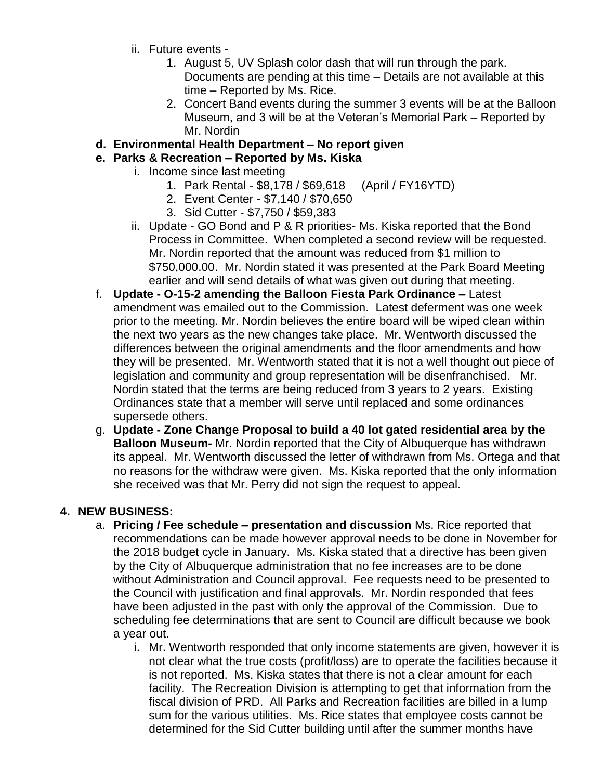- ii. Future events
	- 1. August 5, UV Splash color dash that will run through the park. Documents are pending at this time – Details are not available at this time – Reported by Ms. Rice.
	- 2. Concert Band events during the summer 3 events will be at the Balloon Museum, and 3 will be at the Veteran's Memorial Park – Reported by Mr. Nordin
- **d. Environmental Health Department – No report given**
- **e. Parks & Recreation – Reported by Ms. Kiska**
	- i. Income since last meeting
		- 1. Park Rental \$8,178 / \$69,618 (April / FY16YTD)
		- 2. Event Center \$7,140 / \$70,650
		- 3. Sid Cutter \$7,750 / \$59,383
	- ii. Update GO Bond and P & R priorities- Ms. Kiska reported that the Bond Process in Committee. When completed a second review will be requested. Mr. Nordin reported that the amount was reduced from \$1 million to \$750,000.00. Mr. Nordin stated it was presented at the Park Board Meeting earlier and will send details of what was given out during that meeting.
- f. **Update - O-15-2 amending the Balloon Fiesta Park Ordinance –** Latest amendment was emailed out to the Commission. Latest deferment was one week prior to the meeting. Mr. Nordin believes the entire board will be wiped clean within the next two years as the new changes take place. Mr. Wentworth discussed the differences between the original amendments and the floor amendments and how they will be presented. Mr. Wentworth stated that it is not a well thought out piece of legislation and community and group representation will be disenfranchised. Mr. Nordin stated that the terms are being reduced from 3 years to 2 years. Existing Ordinances state that a member will serve until replaced and some ordinances supersede others.
- g. **Update - Zone Change Proposal to build a 40 lot gated residential area by the Balloon Museum-** Mr. Nordin reported that the City of Albuquerque has withdrawn its appeal. Mr. Wentworth discussed the letter of withdrawn from Ms. Ortega and that no reasons for the withdraw were given. Ms. Kiska reported that the only information she received was that Mr. Perry did not sign the request to appeal.

## **4. NEW BUSINESS:**

- a. **Pricing / Fee schedule – presentation and discussion** Ms. Rice reported that recommendations can be made however approval needs to be done in November for the 2018 budget cycle in January. Ms. Kiska stated that a directive has been given by the City of Albuquerque administration that no fee increases are to be done without Administration and Council approval. Fee requests need to be presented to the Council with justification and final approvals. Mr. Nordin responded that fees have been adjusted in the past with only the approval of the Commission. Due to scheduling fee determinations that are sent to Council are difficult because we book a year out.
	- i. Mr. Wentworth responded that only income statements are given, however it is not clear what the true costs (profit/loss) are to operate the facilities because it is not reported. Ms. Kiska states that there is not a clear amount for each facility. The Recreation Division is attempting to get that information from the fiscal division of PRD. All Parks and Recreation facilities are billed in a lump sum for the various utilities. Ms. Rice states that employee costs cannot be determined for the Sid Cutter building until after the summer months have